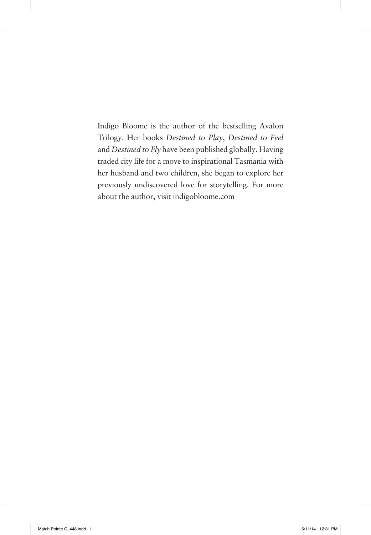Indigo Bloome is the author of the bestselling Avalon Trilogy. Her books *Destined to Play*, *Destined to Feel* and *Destined to Fly* have been published globally. Having traded city life for a move to inspirational Tasmania with her husband and two children, she began to explore her previously undiscovered love for storytelling. For more about the author, visit indigobloome.com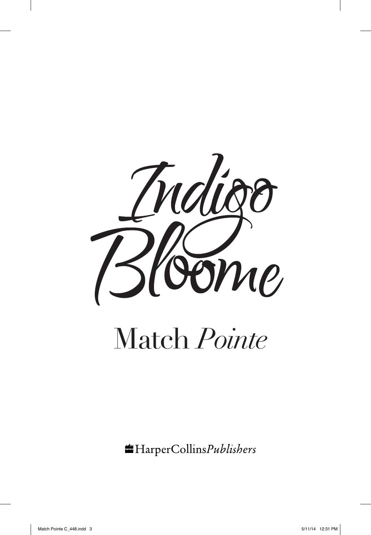

HarperCollinsPublishers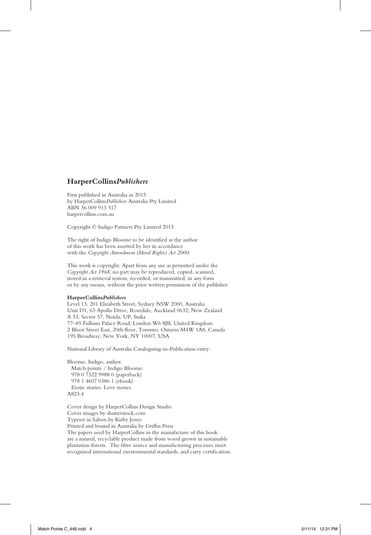#### **HarperCollins***Publishers*

First published in Australia in 2015 by HarperCollins*Publishers* Australia Pty Limited ABN 36 009 913 517 harpercollins.com.au

Copyright © Indigo Partners Pty Limited 2015

The right of Indigo Bloome to be identified as the author of this work has been asserted by her in accordance with the *Copyright Amendment (Moral Rights) Act 2000*.

This work is copyright. Apart from any use as permitted under the *Copyright Act 1968*, no part may be reproduced, copied, scanned, stored in a retrieval system, recorded, or transmitted, in any form or by any means, without the prior written permission of the publisher.

#### **HarperCollins***Publishers*

Level 13, 201 Elizabeth Street, Sydney NSW 2000, Australia Unit D1, 63 Apollo Drive, Rosedale, Auckland 0632, New Zealand A 53, Sector 57, Noida, UP, India 77–85 Fulham Palace Road, London W6 8JB, United Kingdom 2 Bloor Street East, 20th floor, Toronto, Ontario M4W 1A8, Canada 195 Broadway, New York, NY 10007, USA

National Library of Australia Cataloguing-in-Publication entry:

Bloome, Indigo, author. Match pointe / Indigo Bloome. 978 0 7322 9988 0 (paperback) 978 1 4607 0386 1 (ebook) Erotic stories. Love stories. A823.4

Cover design by HarperCollins Design Studio Cover images by shutterstock.com Typeset in Sabon by Kirby Jones Printed and bound in Australia by Griffin Press The papers used by HarperCollins in the manufacture of this book are a natural, recyclable product made from wood grown in sustainable plantation forests. The fibre source and manufacturing processes meet recognised international environmental standards, and carry certification.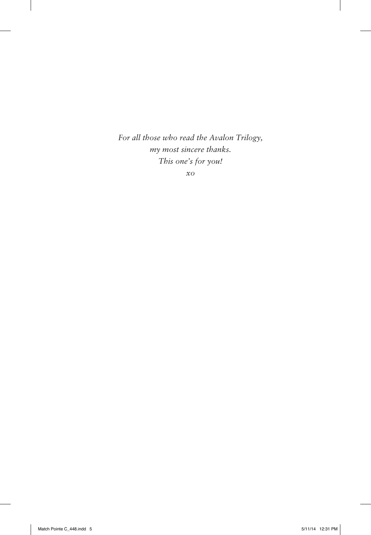*For all those who read the Avalon Trilogy, my most sincere thanks. This one's for you!*

*xo*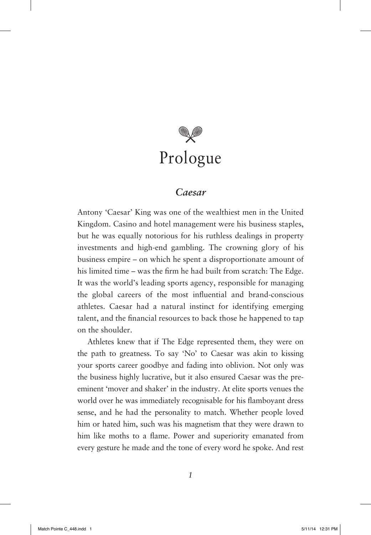

# *Caesar*

Antony 'Caesar' King was one of the wealthiest men in the United Kingdom. Casino and hotel management were his business staples, but he was equally notorious for his ruthless dealings in property investments and high-end gambling. The crowning glory of his business empire – on which he spent a disproportionate amount of his limited time – was the firm he had built from scratch: The Edge. It was the world's leading sports agency, responsible for managing the global careers of the most influential and brand-conscious athletes. Caesar had a natural instinct for identifying emerging talent, and the financial resources to back those he happened to tap on the shoulder.

Athletes knew that if The Edge represented them, they were on the path to greatness. To say 'No' to Caesar was akin to kissing your sports career goodbye and fading into oblivion. Not only was the business highly lucrative, but it also ensured Caesar was the preeminent 'mover and shaker' in the industry. At elite sports venues the world over he was immediately recognisable for his flamboyant dress sense, and he had the personality to match. Whether people loved him or hated him, such was his magnetism that they were drawn to him like moths to a flame. Power and superiority emanated from every gesture he made and the tone of every word he spoke. And rest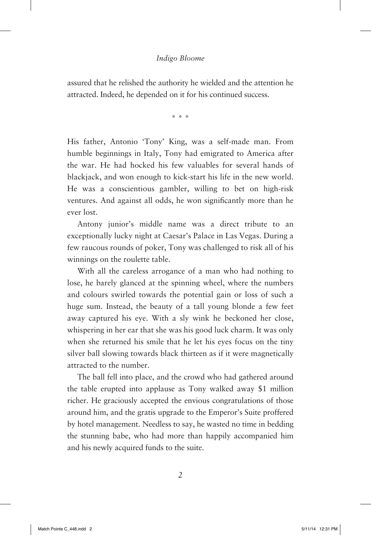#### *Indigo Bloome*

assured that he relished the authority he wielded and the attention he attracted. Indeed, he depended on it for his continued success.

\*\*\*

His father, Antonio 'Tony' King, was a self-made man. From humble beginnings in Italy, Tony had emigrated to America after the war. He had hocked his few valuables for several hands of blackjack, and won enough to kick-start his life in the new world. He was a conscientious gambler, willing to bet on high-risk ventures. And against all odds, he won significantly more than he ever lost.

Antony junior's middle name was a direct tribute to an exceptionally lucky night at Caesar's Palace in Las Vegas. During a few raucous rounds of poker, Tony was challenged to risk all of his winnings on the roulette table.

With all the careless arrogance of a man who had nothing to lose, he barely glanced at the spinning wheel, where the numbers and colours swirled towards the potential gain or loss of such a huge sum. Instead, the beauty of a tall young blonde a few feet away captured his eye. With a sly wink he beckoned her close, whispering in her ear that she was his good luck charm. It was only when she returned his smile that he let his eyes focus on the tiny silver ball slowing towards black thirteen as if it were magnetically attracted to the number.

The ball fell into place, and the crowd who had gathered around the table erupted into applause as Tony walked away \$1 million richer. He graciously accepted the envious congratulations of those around him, and the gratis upgrade to the Emperor's Suite proffered by hotel management. Needless to say, he wasted no time in bedding the stunning babe, who had more than happily accompanied him and his newly acquired funds to the suite.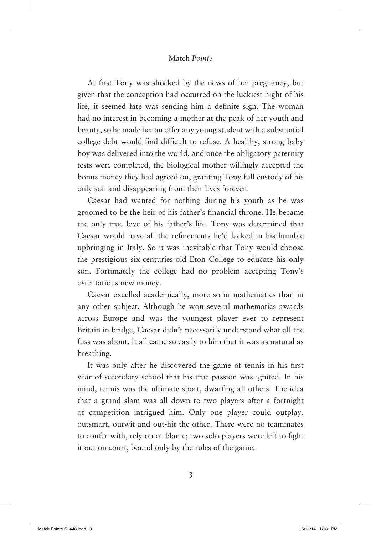At first Tony was shocked by the news of her pregnancy, but given that the conception had occurred on the luckiest night of his life, it seemed fate was sending him a definite sign. The woman had no interest in becoming a mother at the peak of her youth and beauty, so he made her an offer any young student with a substantial college debt would find difficult to refuse. A healthy, strong baby boy was delivered into the world, and once the obligatory paternity tests were completed, the biological mother willingly accepted the bonus money they had agreed on, granting Tony full custody of his only son and disappearing from their lives forever.

Caesar had wanted for nothing during his youth as he was groomed to be the heir of his father's financial throne. He became the only true love of his father's life. Tony was determined that Caesar would have all the refinements he'd lacked in his humble upbringing in Italy. So it was inevitable that Tony would choose the prestigious six-centuries-old Eton College to educate his only son. Fortunately the college had no problem accepting Tony's ostentatious new money.

Caesar excelled academically, more so in mathematics than in any other subject. Although he won several mathematics awards across Europe and was the youngest player ever to represent Britain in bridge, Caesar didn't necessarily understand what all the fuss was about. It all came so easily to him that it was as natural as breathing.

It was only after he discovered the game of tennis in his first year of secondary school that his true passion was ignited. In his mind, tennis was the ultimate sport, dwarfing all others. The idea that a grand slam was all down to two players after a fortnight of competition intrigued him. Only one player could outplay, outsmart, outwit and out-hit the other. There were no teammates to confer with, rely on or blame; two solo players were left to fight it out on court, bound only by the rules of the game.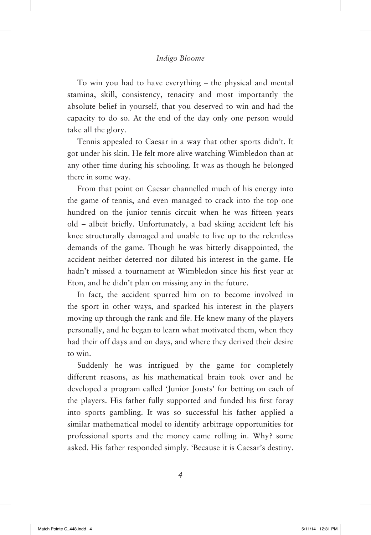# *Indigo Bloome*

To win you had to have everything – the physical and mental stamina, skill, consistency, tenacity and most importantly the absolute belief in yourself, that you deserved to win and had the capacity to do so. At the end of the day only one person would take all the glory.

Tennis appealed to Caesar in a way that other sports didn't. It got under his skin. He felt more alive watching Wimbledon than at any other time during his schooling. It was as though he belonged there in some way.

From that point on Caesar channelled much of his energy into the game of tennis, and even managed to crack into the top one hundred on the junior tennis circuit when he was fifteen years old – albeit briefly. Unfortunately, a bad skiing accident left his knee structurally damaged and unable to live up to the relentless demands of the game. Though he was bitterly disappointed, the accident neither deterred nor diluted his interest in the game. He hadn't missed a tournament at Wimbledon since his first year at Eton, and he didn't plan on missing any in the future.

In fact, the accident spurred him on to become involved in the sport in other ways, and sparked his interest in the players moving up through the rank and file. He knew many of the players personally, and he began to learn what motivated them, when they had their off days and on days, and where they derived their desire to win.

Suddenly he was intrigued by the game for completely different reasons, as his mathematical brain took over and he developed a program called 'Junior Jousts' for betting on each of the players. His father fully supported and funded his first foray into sports gambling. It was so successful his father applied a similar mathematical model to identify arbitrage opportunities for professional sports and the money came rolling in. Why? some asked. His father responded simply. 'Because it is Caesar's destiny.

*4*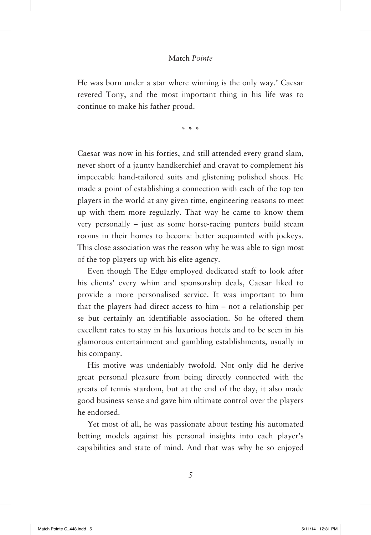He was born under a star where winning is the only way.' Caesar revered Tony, and the most important thing in his life was to continue to make his father proud.

\*\*\*

Caesar was now in his forties, and still attended every grand slam, never short of a jaunty handkerchief and cravat to complement his impeccable hand-tailored suits and glistening polished shoes. He made a point of establishing a connection with each of the top ten players in the world at any given time, engineering reasons to meet up with them more regularly. That way he came to know them very personally – just as some horse-racing punters build steam rooms in their homes to become better acquainted with jockeys. This close association was the reason why he was able to sign most of the top players up with his elite agency.

Even though The Edge employed dedicated staff to look after his clients' every whim and sponsorship deals, Caesar liked to provide a more personalised service. It was important to him that the players had direct access to him – not a relationship per se but certainly an identifiable association. So he offered them excellent rates to stay in his luxurious hotels and to be seen in his glamorous entertainment and gambling establishments, usually in his company.

His motive was undeniably twofold. Not only did he derive great personal pleasure from being directly connected with the greats of tennis stardom, but at the end of the day, it also made good business sense and gave him ultimate control over the players he endorsed.

Yet most of all, he was passionate about testing his automated betting models against his personal insights into each player's capabilities and state of mind. And that was why he so enjoyed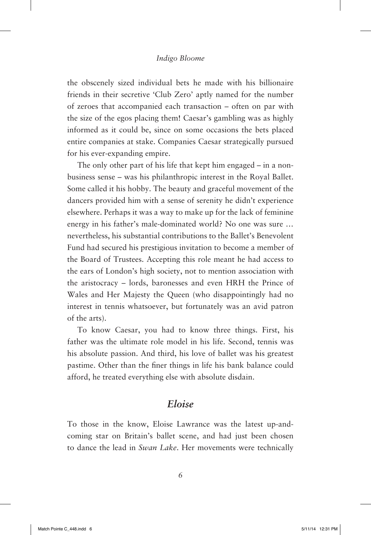#### *Indigo Bloome*

the obscenely sized individual bets he made with his billionaire friends in their secretive 'Club Zero' aptly named for the number of zeroes that accompanied each transaction – often on par with the size of the egos placing them! Caesar's gambling was as highly informed as it could be, since on some occasions the bets placed entire companies at stake. Companies Caesar strategically pursued for his ever-expanding empire.

The only other part of his life that kept him engaged – in a nonbusiness sense – was his philanthropic interest in the Royal Ballet. Some called it his hobby. The beauty and graceful movement of the dancers provided him with a sense of serenity he didn't experience elsewhere. Perhaps it was a way to make up for the lack of feminine energy in his father's male-dominated world? No one was sure … nevertheless, his substantial contributions to the Ballet's Benevolent Fund had secured his prestigious invitation to become a member of the Board of Trustees. Accepting this role meant he had access to the ears of London's high society, not to mention association with the aristocracy – lords, baronesses and even HRH the Prince of Wales and Her Majesty the Queen (who disappointingly had no interest in tennis whatsoever, but fortunately was an avid patron of the arts).

To know Caesar, you had to know three things. First, his father was the ultimate role model in his life. Second, tennis was his absolute passion. And third, his love of ballet was his greatest pastime. Other than the finer things in life his bank balance could afford, he treated everything else with absolute disdain.

# *Eloise*

To those in the know, Eloise Lawrance was the latest up-andcoming star on Britain's ballet scene, and had just been chosen to dance the lead in *Swan Lake*. Her movements were technically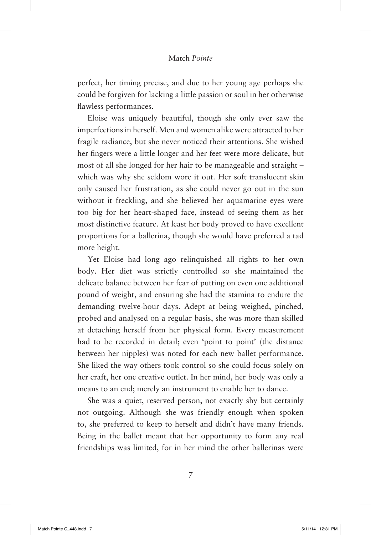perfect, her timing precise, and due to her young age perhaps she could be forgiven for lacking a little passion or soul in her otherwise flawless performances.

Eloise was uniquely beautiful, though she only ever saw the imperfections in herself. Men and women alike were attracted to her fragile radiance, but she never noticed their attentions. She wished her fingers were a little longer and her feet were more delicate, but most of all she longed for her hair to be manageable and straight – which was why she seldom wore it out. Her soft translucent skin only caused her frustration, as she could never go out in the sun without it freckling, and she believed her aquamarine eyes were too big for her heart-shaped face, instead of seeing them as her most distinctive feature. At least her body proved to have excellent proportions for a ballerina, though she would have preferred a tad more height.

Yet Eloise had long ago relinquished all rights to her own body. Her diet was strictly controlled so she maintained the delicate balance between her fear of putting on even one additional pound of weight, and ensuring she had the stamina to endure the demanding twelve-hour days. Adept at being weighed, pinched, probed and analysed on a regular basis, she was more than skilled at detaching herself from her physical form. Every measurement had to be recorded in detail; even 'point to point' (the distance between her nipples) was noted for each new ballet performance. She liked the way others took control so she could focus solely on her craft, her one creative outlet. In her mind, her body was only a means to an end; merely an instrument to enable her to dance.

She was a quiet, reserved person, not exactly shy but certainly not outgoing. Although she was friendly enough when spoken to, she preferred to keep to herself and didn't have many friends. Being in the ballet meant that her opportunity to form any real friendships was limited, for in her mind the other ballerinas were

*7*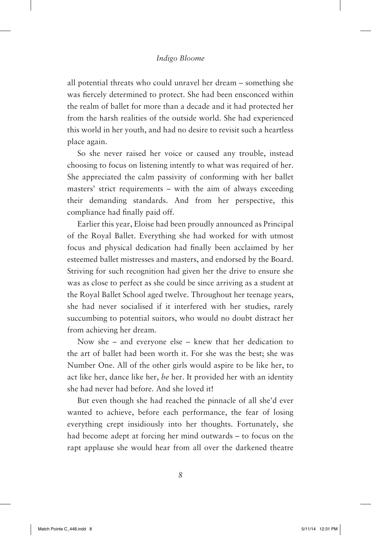# *Indigo Bloome*

all potential threats who could unravel her dream – something she was fiercely determined to protect. She had been ensconced within the realm of ballet for more than a decade and it had protected her from the harsh realities of the outside world. She had experienced this world in her youth, and had no desire to revisit such a heartless place again.

So she never raised her voice or caused any trouble, instead choosing to focus on listening intently to what was required of her. She appreciated the calm passivity of conforming with her ballet masters' strict requirements – with the aim of always exceeding their demanding standards. And from her perspective, this compliance had finally paid off.

Earlier this year, Eloise had been proudly announced as Principal of the Royal Ballet. Everything she had worked for with utmost focus and physical dedication had finally been acclaimed by her esteemed ballet mistresses and masters, and endorsed by the Board. Striving for such recognition had given her the drive to ensure she was as close to perfect as she could be since arriving as a student at the Royal Ballet School aged twelve. Throughout her teenage years, she had never socialised if it interfered with her studies, rarely succumbing to potential suitors, who would no doubt distract her from achieving her dream.

Now she - and everyone else - knew that her dedication to the art of ballet had been worth it. For she was the best; she was Number One. All of the other girls would aspire to be like her, to act like her, dance like her, *be* her. It provided her with an identity she had never had before. And she loved it!

But even though she had reached the pinnacle of all she'd ever wanted to achieve, before each performance, the fear of losing everything crept insidiously into her thoughts. Fortunately, she had become adept at forcing her mind outwards – to focus on the rapt applause she would hear from all over the darkened theatre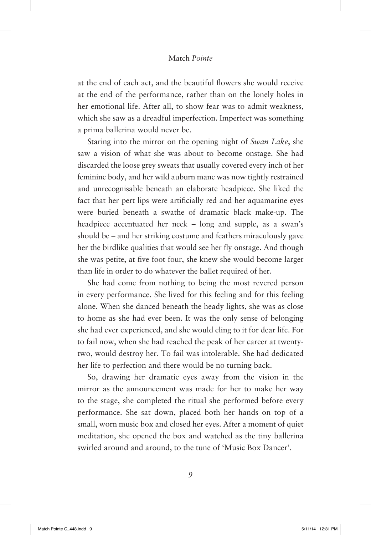at the end of each act, and the beautiful flowers she would receive at the end of the performance, rather than on the lonely holes in her emotional life. After all, to show fear was to admit weakness, which she saw as a dreadful imperfection. Imperfect was something a prima ballerina would never be.

Staring into the mirror on the opening night of *Swan Lake*, she saw a vision of what she was about to become onstage. She had discarded the loose grey sweats that usually covered every inch of her feminine body, and her wild auburn mane was now tightly restrained and unrecognisable beneath an elaborate headpiece. She liked the fact that her pert lips were artificially red and her aquamarine eyes were buried beneath a swathe of dramatic black make-up. The headpiece accentuated her neck – long and supple, as a swan's should be – and her striking costume and feathers miraculously gave her the birdlike qualities that would see her fly onstage. And though she was petite, at five foot four, she knew she would become larger than life in order to do whatever the ballet required of her.

She had come from nothing to being the most revered person in every performance. She lived for this feeling and for this feeling alone. When she danced beneath the heady lights, she was as close to home as she had ever been. It was the only sense of belonging she had ever experienced, and she would cling to it for dear life. For to fail now, when she had reached the peak of her career at twentytwo, would destroy her. To fail was intolerable. She had dedicated her life to perfection and there would be no turning back.

So, drawing her dramatic eyes away from the vision in the mirror as the announcement was made for her to make her way to the stage, she completed the ritual she performed before every performance. She sat down, placed both her hands on top of a small, worn music box and closed her eyes. After a moment of quiet meditation, she opened the box and watched as the tiny ballerina swirled around and around, to the tune of 'Music Box Dancer'.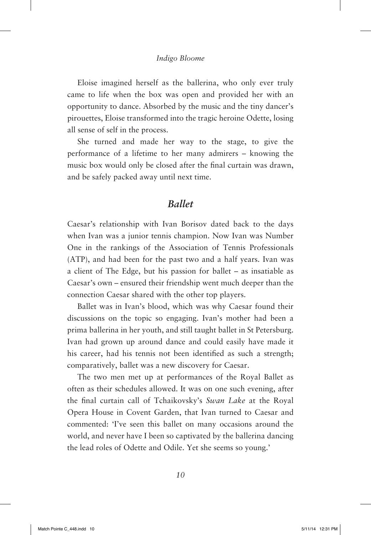Eloise imagined herself as the ballerina, who only ever truly came to life when the box was open and provided her with an opportunity to dance. Absorbed by the music and the tiny dancer's pirouettes, Eloise transformed into the tragic heroine Odette, losing all sense of self in the process.

She turned and made her way to the stage, to give the performance of a lifetime to her many admirers – knowing the music box would only be closed after the final curtain was drawn, and be safely packed away until next time.

# *Ballet*

Caesar's relationship with Ivan Borisov dated back to the days when Ivan was a junior tennis champion. Now Ivan was Number One in the rankings of the Association of Tennis Professionals (ATP), and had been for the past two and a half years. Ivan was a client of The Edge, but his passion for ballet – as insatiable as Caesar's own – ensured their friendship went much deeper than the connection Caesar shared with the other top players.

Ballet was in Ivan's blood, which was why Caesar found their discussions on the topic so engaging. Ivan's mother had been a prima ballerina in her youth, and still taught ballet in St Petersburg. Ivan had grown up around dance and could easily have made it his career, had his tennis not been identified as such a strength; comparatively, ballet was a new discovery for Caesar.

The two men met up at performances of the Royal Ballet as often as their schedules allowed. It was on one such evening, after the final curtain call of Tchaikovsky's *Swan Lake* at the Royal Opera House in Covent Garden, that Ivan turned to Caesar and commented: 'I've seen this ballet on many occasions around the world, and never have I been so captivated by the ballerina dancing the lead roles of Odette and Odile. Yet she seems so young.'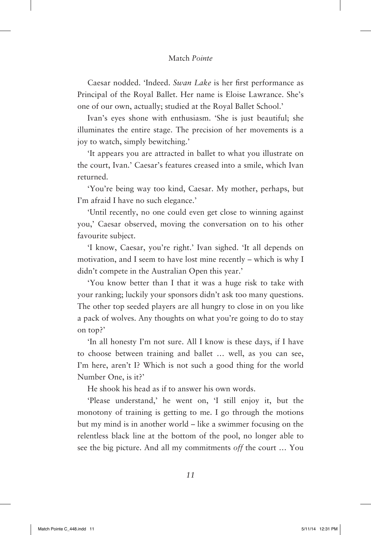Caesar nodded. 'Indeed. *Swan Lake* is her first performance as Principal of the Royal Ballet. Her name is Eloise Lawrance. She's one of our own, actually; studied at the Royal Ballet School.'

Ivan's eyes shone with enthusiasm. 'She is just beautiful; she illuminates the entire stage. The precision of her movements is a joy to watch, simply bewitching.'

'It appears you are attracted in ballet to what you illustrate on the court, Ivan.' Caesar's features creased into a smile, which Ivan returned.

'You're being way too kind, Caesar. My mother, perhaps, but I'm afraid I have no such elegance.'

'Until recently, no one could even get close to winning against you,' Caesar observed, moving the conversation on to his other favourite subject.

'I know, Caesar, you're right.' Ivan sighed. 'It all depends on motivation, and I seem to have lost mine recently – which is why I didn't compete in the Australian Open this year.'

'You know better than I that it was a huge risk to take with your ranking; luckily your sponsors didn't ask too many questions. The other top seeded players are all hungry to close in on you like a pack of wolves. Any thoughts on what you're going to do to stay on top?'

'In all honesty I'm not sure. All I know is these days, if I have to choose between training and ballet … well, as you can see, I'm here, aren't I? Which is not such a good thing for the world Number One, is it?'

He shook his head as if to answer his own words.

'Please understand,' he went on, 'I still enjoy it, but the monotony of training is getting to me. I go through the motions but my mind is in another world – like a swimmer focusing on the relentless black line at the bottom of the pool, no longer able to see the big picture. And all my commitments *off* the court … You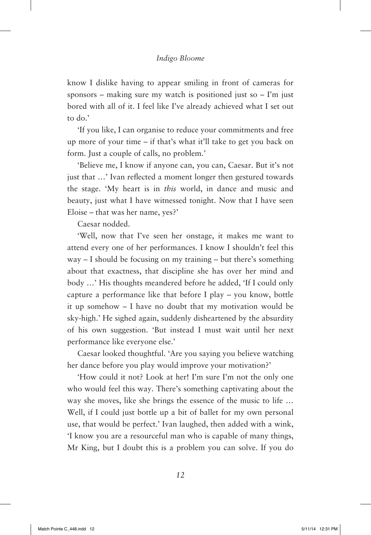know I dislike having to appear smiling in front of cameras for sponsors – making sure my watch is positioned just so – I'm just bored with all of it. I feel like I've already achieved what I set out to do.'

'If you like, I can organise to reduce your commitments and free up more of your time – if that's what it'll take to get you back on form. Just a couple of calls, no problem.'

'Believe me, I know if anyone can, you can, Caesar. But it's not just that …' Ivan reflected a moment longer then gestured towards the stage. 'My heart is in *this* world, in dance and music and beauty, just what I have witnessed tonight. Now that I have seen Eloise – that was her name, yes?'

Caesar nodded.

'Well, now that I've seen her onstage, it makes me want to attend every one of her performances. I know I shouldn't feel this way – I should be focusing on my training – but there's something about that exactness, that discipline she has over her mind and body …' His thoughts meandered before he added, 'If I could only capture a performance like that before I play – you know, bottle it up somehow – I have no doubt that my motivation would be sky-high.' He sighed again, suddenly disheartened by the absurdity of his own suggestion. 'But instead I must wait until her next performance like everyone else.'

Caesar looked thoughtful. 'Are you saying you believe watching her dance before you play would improve your motivation?'

'How could it not? Look at her! I'm sure I'm not the only one who would feel this way. There's something captivating about the way she moves, like she brings the essence of the music to life … Well, if I could just bottle up a bit of ballet for my own personal use, that would be perfect.' Ivan laughed, then added with a wink, 'I know you are a resourceful man who is capable of many things, Mr King, but I doubt this is a problem you can solve. If you do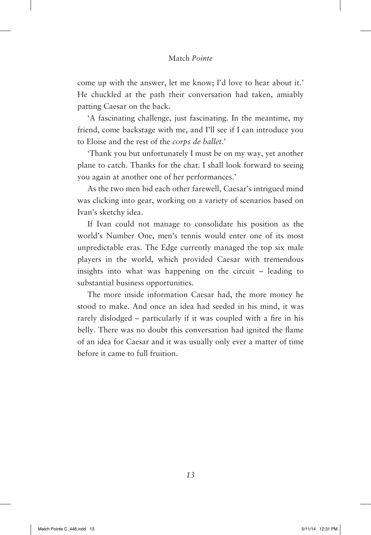come up with the answer, let me know; I'd love to hear about it.' He chuckled at the path their conversation had taken, amiably patting Caesar on the back.

'A fascinating challenge, just fascinating. In the meantime, my friend, come backstage with me, and I'll see if I can introduce you to Eloise and the rest of the *corps de ballet*.'

'Thank you but unfortunately I must be on my way, yet another plane to catch. Thanks for the chat. I shall look forward to seeing you again at another one of her performances.'

As the two men bid each other farewell, Caesar's intrigued mind was clicking into gear, working on a variety of scenarios based on Ivan's sketchy idea.

If Ivan could not manage to consolidate his position as the world's Number One, men's tennis would enter one of its most unpredictable eras. The Edge currently managed the top six male players in the world, which provided Caesar with tremendous insights into what was happening on the circuit – leading to substantial business opportunities.

The more inside information Caesar had, the more money he stood to make. And once an idea had seeded in his mind, it was rarely dislodged – particularly if it was coupled with a fire in his belly. There was no doubt this conversation had ignited the flame of an idea for Caesar and it was usually only ever a matter of time before it came to full fruition.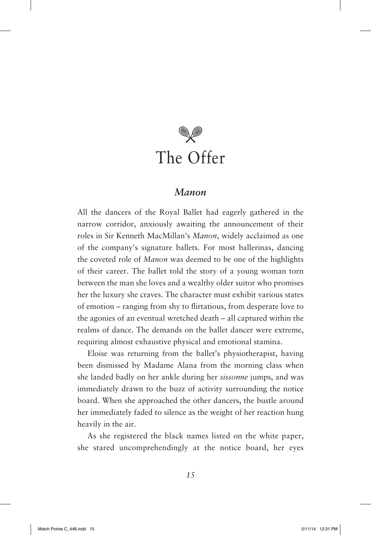

# *Manon*

All the dancers of the Royal Ballet had eagerly gathered in the narrow corridor, anxiously awaiting the announcement of their roles in Sir Kenneth MacMillan's *Manon*, widely acclaimed as one of the company's signature ballets. For most ballerinas, dancing the coveted role of *Manon* was deemed to be one of the highlights of their career. The ballet told the story of a young woman torn between the man she loves and a wealthy older suitor who promises her the luxury she craves. The character must exhibit various states of emotion – ranging from shy to flirtatious, from desperate love to the agonies of an eventual wretched death – all captured within the realms of dance. The demands on the ballet dancer were extreme, requiring almost exhaustive physical and emotional stamina.

Eloise was returning from the ballet's physiotherapist, having been dismissed by Madame Alana from the morning class when she landed badly on her ankle during her *sissonne* jumps, and was immediately drawn to the buzz of activity surrounding the notice board. When she approached the other dancers, the bustle around her immediately faded to silence as the weight of her reaction hung heavily in the air.

As she registered the black names listed on the white paper, she stared uncomprehendingly at the notice board, her eyes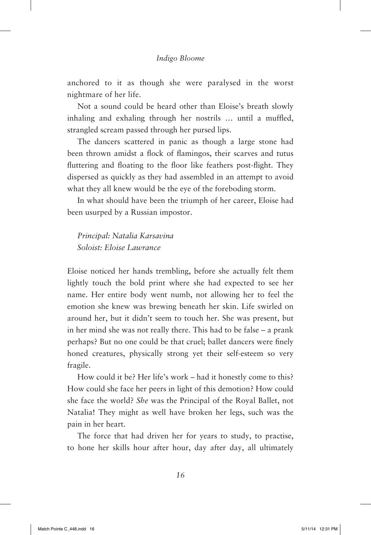anchored to it as though she were paralysed in the worst nightmare of her life.

Not a sound could be heard other than Eloise's breath slowly inhaling and exhaling through her nostrils … until a muffled, strangled scream passed through her pursed lips.

The dancers scattered in panic as though a large stone had been thrown amidst a flock of flamingos, their scarves and tutus fluttering and floating to the floor like feathers post-flight. They dispersed as quickly as they had assembled in an attempt to avoid what they all knew would be the eye of the foreboding storm.

In what should have been the triumph of her career, Eloise had been usurped by a Russian impostor.

*Principal: Natalia Karsavina Soloist: Eloise Lawrance*

Eloise noticed her hands trembling, before she actually felt them lightly touch the bold print where she had expected to see her name. Her entire body went numb, not allowing her to feel the emotion she knew was brewing beneath her skin. Life swirled on around her, but it didn't seem to touch her. She was present, but in her mind she was not really there. This had to be false – a prank perhaps? But no one could be that cruel; ballet dancers were finely honed creatures, physically strong yet their self-esteem so very fragile.

How could it be? Her life's work – had it honestly come to this? How could she face her peers in light of this demotion? How could she face the world? *She* was the Principal of the Royal Ballet, not Natalia! They might as well have broken her legs, such was the pain in her heart.

The force that had driven her for years to study, to practise, to hone her skills hour after hour, day after day, all ultimately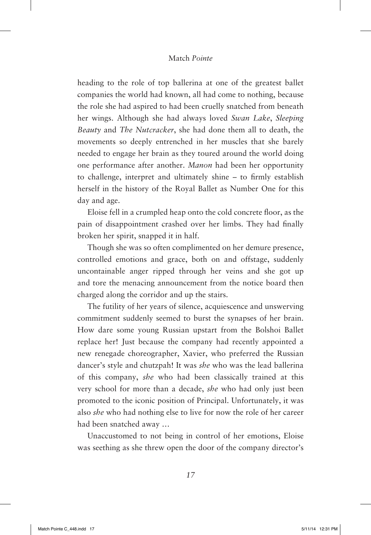heading to the role of top ballerina at one of the greatest ballet companies the world had known, all had come to nothing, because the role she had aspired to had been cruelly snatched from beneath her wings. Although she had always loved *Swan Lake*, *Sleeping Beauty* and *The Nutcracker*, she had done them all to death, the movements so deeply entrenched in her muscles that she barely needed to engage her brain as they toured around the world doing one performance after another. *Manon* had been her opportunity to challenge, interpret and ultimately shine – to firmly establish herself in the history of the Royal Ballet as Number One for this day and age.

Eloise fell in a crumpled heap onto the cold concrete floor, as the pain of disappointment crashed over her limbs. They had finally broken her spirit, snapped it in half.

Though she was so often complimented on her demure presence, controlled emotions and grace, both on and offstage, suddenly uncontainable anger ripped through her veins and she got up and tore the menacing announcement from the notice board then charged along the corridor and up the stairs.

The futility of her years of silence, acquiescence and unswerving commitment suddenly seemed to burst the synapses of her brain. How dare some young Russian upstart from the Bolshoi Ballet replace her! Just because the company had recently appointed a new renegade choreographer, Xavier, who preferred the Russian dancer's style and chutzpah! It was *she* who was the lead ballerina of this company, *she* who had been classically trained at this very school for more than a decade, *she* who had only just been promoted to the iconic position of Principal. Unfortunately, it was also *she* who had nothing else to live for now the role of her career had been snatched away …

Unaccustomed to not being in control of her emotions, Eloise was seething as she threw open the door of the company director's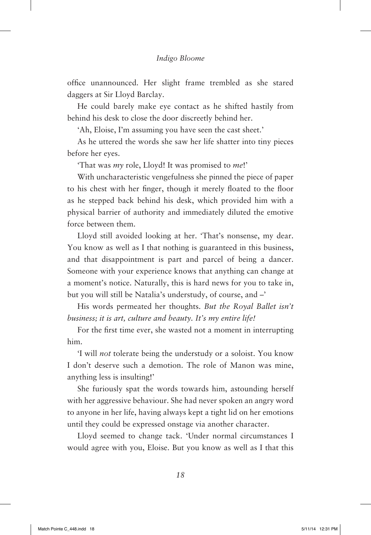office unannounced. Her slight frame trembled as she stared daggers at Sir Lloyd Barclay.

He could barely make eye contact as he shifted hastily from behind his desk to close the door discreetly behind her.

'Ah, Eloise, I'm assuming you have seen the cast sheet.'

As he uttered the words she saw her life shatter into tiny pieces before her eyes.

'That was *my* role, Lloyd! It was promised to *me*!'

With uncharacteristic vengefulness she pinned the piece of paper to his chest with her finger, though it merely floated to the floor as he stepped back behind his desk, which provided him with a physical barrier of authority and immediately diluted the emotive force between them.

Lloyd still avoided looking at her. 'That's nonsense, my dear. You know as well as I that nothing is guaranteed in this business, and that disappointment is part and parcel of being a dancer. Someone with your experience knows that anything can change at a moment's notice. Naturally, this is hard news for you to take in, but you will still be Natalia's understudy, of course, and –'

His words permeated her thoughts. *But the Royal Ballet isn't business; it is art, culture and beauty. It's my entire life!*

For the first time ever, she wasted not a moment in interrupting him.

'I will *not* tolerate being the understudy or a soloist. You know I don't deserve such a demotion. The role of Manon was mine, anything less is insulting!'

She furiously spat the words towards him, astounding herself with her aggressive behaviour. She had never spoken an angry word to anyone in her life, having always kept a tight lid on her emotions until they could be expressed onstage via another character.

Lloyd seemed to change tack. 'Under normal circumstances I would agree with you, Eloise. But you know as well as I that this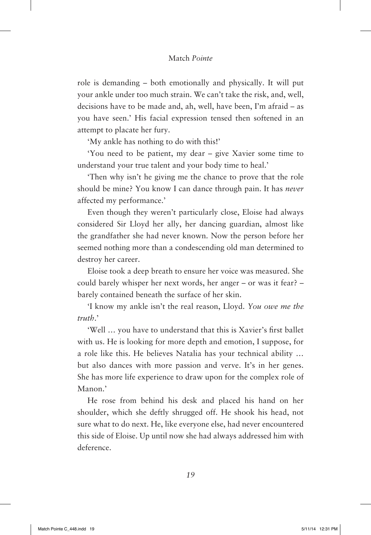role is demanding – both emotionally and physically. It will put your ankle under too much strain. We can't take the risk, and, well, decisions have to be made and, ah, well, have been, I'm afraid – as you have seen.' His facial expression tensed then softened in an attempt to placate her fury.

'My ankle has nothing to do with this!'

'You need to be patient, my dear – give Xavier some time to understand your true talent and your body time to heal.'

'Then why isn't he giving me the chance to prove that the role should be mine? You know I can dance through pain. It has *never* affected my performance.'

Even though they weren't particularly close, Eloise had always considered Sir Lloyd her ally, her dancing guardian, almost like the grandfather she had never known. Now the person before her seemed nothing more than a condescending old man determined to destroy her career.

Eloise took a deep breath to ensure her voice was measured. She could barely whisper her next words, her anger – or was it fear? – barely contained beneath the surface of her skin.

'I know my ankle isn't the real reason, Lloyd. *You owe me the truth*.'

'Well … you have to understand that this is Xavier's first ballet with us. He is looking for more depth and emotion, I suppose, for a role like this. He believes Natalia has your technical ability … but also dances with more passion and verve. It's in her genes. She has more life experience to draw upon for the complex role of Manon.'

He rose from behind his desk and placed his hand on her shoulder, which she deftly shrugged off. He shook his head, not sure what to do next. He, like everyone else, had never encountered this side of Eloise. Up until now she had always addressed him with deference.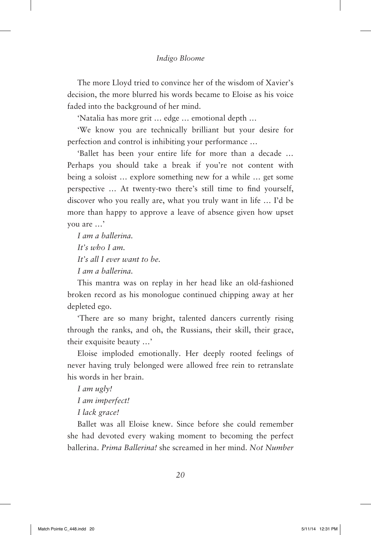The more Lloyd tried to convince her of the wisdom of Xavier's decision, the more blurred his words became to Eloise as his voice faded into the background of her mind.

'Natalia has more grit … edge … emotional depth …

'We know you are technically brilliant but your desire for perfection and control is inhibiting your performance …

'Ballet has been your entire life for more than a decade … Perhaps you should take a break if you're not content with being a soloist … explore something new for a while … get some perspective … At twenty-two there's still time to find yourself, discover who you really are, what you truly want in life … I'd be more than happy to approve a leave of absence given how upset you are …'

*I am a ballerina. It's who I am. It's all I ever want to be. I am a ballerina.*

This mantra was on replay in her head like an old-fashioned broken record as his monologue continued chipping away at her depleted ego.

'There are so many bright, talented dancers currently rising through the ranks, and oh, the Russians, their skill, their grace, their exquisite beauty …'

Eloise imploded emotionally. Her deeply rooted feelings of never having truly belonged were allowed free rein to retranslate his words in her brain.

*I am ugly! I am imperfect! I lack grace!*

Ballet was all Eloise knew. Since before she could remember she had devoted every waking moment to becoming the perfect ballerina. *Prima Ballerina!* she screamed in her mind. *Not Number*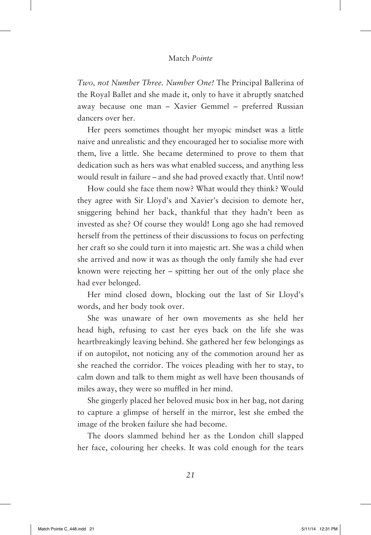*Two, not Number Three. Number One!* The Principal Ballerina of the Royal Ballet and she made it, only to have it abruptly snatched away because one man – Xavier Gemmel – preferred Russian dancers over her.

Her peers sometimes thought her myopic mindset was a little naive and unrealistic and they encouraged her to socialise more with them, live a little. She became determined to prove to them that dedication such as hers was what enabled success, and anything less would result in failure – and she had proved exactly that. Until now!

How could she face them now? What would they think? Would they agree with Sir Lloyd's and Xavier's decision to demote her, sniggering behind her back, thankful that they hadn't been as invested as she? Of course they would! Long ago she had removed herself from the pettiness of their discussions to focus on perfecting her craft so she could turn it into majestic art. She was a child when she arrived and now it was as though the only family she had ever known were rejecting her – spitting her out of the only place she had ever belonged.

Her mind closed down, blocking out the last of Sir Lloyd's words, and her body took over.

She was unaware of her own movements as she held her head high, refusing to cast her eyes back on the life she was heartbreakingly leaving behind. She gathered her few belongings as if on autopilot, not noticing any of the commotion around her as she reached the corridor. The voices pleading with her to stay, to calm down and talk to them might as well have been thousands of miles away, they were so muffled in her mind.

She gingerly placed her beloved music box in her bag, not daring to capture a glimpse of herself in the mirror, lest she embed the image of the broken failure she had become.

The doors slammed behind her as the London chill slapped her face, colouring her cheeks. It was cold enough for the tears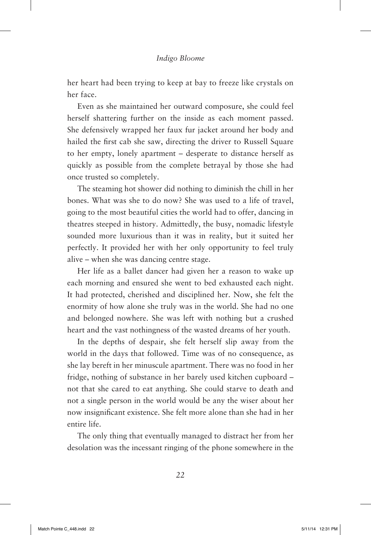her heart had been trying to keep at bay to freeze like crystals on her face.

Even as she maintained her outward composure, she could feel herself shattering further on the inside as each moment passed. She defensively wrapped her faux fur jacket around her body and hailed the first cab she saw, directing the driver to Russell Square to her empty, lonely apartment – desperate to distance herself as quickly as possible from the complete betrayal by those she had once trusted so completely.

The steaming hot shower did nothing to diminish the chill in her bones. What was she to do now? She was used to a life of travel, going to the most beautiful cities the world had to offer, dancing in theatres steeped in history. Admittedly, the busy, nomadic lifestyle sounded more luxurious than it was in reality, but it suited her perfectly. It provided her with her only opportunity to feel truly alive – when she was dancing centre stage.

Her life as a ballet dancer had given her a reason to wake up each morning and ensured she went to bed exhausted each night. It had protected, cherished and disciplined her. Now, she felt the enormity of how alone she truly was in the world. She had no one and belonged nowhere. She was left with nothing but a crushed heart and the vast nothingness of the wasted dreams of her youth.

In the depths of despair, she felt herself slip away from the world in the days that followed. Time was of no consequence, as she lay bereft in her minuscule apartment. There was no food in her fridge, nothing of substance in her barely used kitchen cupboard – not that she cared to eat anything. She could starve to death and not a single person in the world would be any the wiser about her now insignificant existence. She felt more alone than she had in her entire life.

The only thing that eventually managed to distract her from her desolation was the incessant ringing of the phone somewhere in the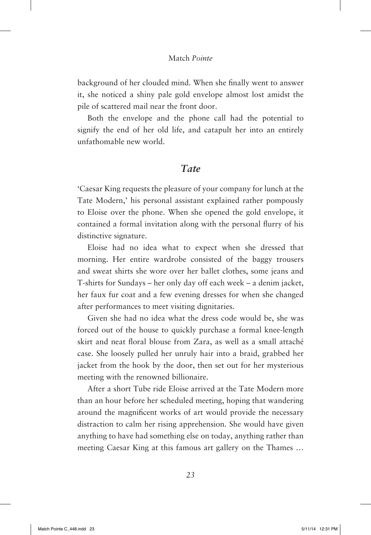background of her clouded mind. When she finally went to answer it, she noticed a shiny pale gold envelope almost lost amidst the pile of scattered mail near the front door.

Both the envelope and the phone call had the potential to signify the end of her old life, and catapult her into an entirely unfathomable new world.

# *Tate*

'Caesar King requests the pleasure of your company for lunch at the Tate Modern,' his personal assistant explained rather pompously to Eloise over the phone. When she opened the gold envelope, it contained a formal invitation along with the personal flurry of his distinctive signature.

Eloise had no idea what to expect when she dressed that morning. Her entire wardrobe consisted of the baggy trousers and sweat shirts she wore over her ballet clothes, some jeans and T-shirts for Sundays – her only day off each week – a denim jacket, her faux fur coat and a few evening dresses for when she changed after performances to meet visiting dignitaries.

Given she had no idea what the dress code would be, she was forced out of the house to quickly purchase a formal knee-length skirt and neat floral blouse from Zara, as well as a small attaché case. She loosely pulled her unruly hair into a braid, grabbed her jacket from the hook by the door, then set out for her mysterious meeting with the renowned billionaire.

After a short Tube ride Eloise arrived at the Tate Modern more than an hour before her scheduled meeting, hoping that wandering around the magnificent works of art would provide the necessary distraction to calm her rising apprehension. She would have given anything to have had something else on today, anything rather than meeting Caesar King at this famous art gallery on the Thames …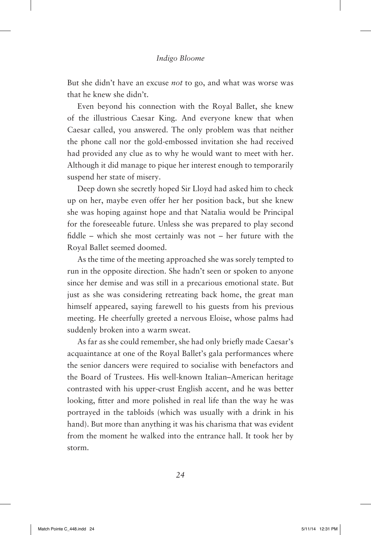But she didn't have an excuse *not* to go, and what was worse was that he knew she didn't.

Even beyond his connection with the Royal Ballet, she knew of the illustrious Caesar King. And everyone knew that when Caesar called, you answered. The only problem was that neither the phone call nor the gold-embossed invitation she had received had provided any clue as to why he would want to meet with her. Although it did manage to pique her interest enough to temporarily suspend her state of misery.

Deep down she secretly hoped Sir Lloyd had asked him to check up on her, maybe even offer her her position back, but she knew she was hoping against hope and that Natalia would be Principal for the foreseeable future. Unless she was prepared to play second fiddle – which she most certainly was not – her future with the Royal Ballet seemed doomed.

As the time of the meeting approached she was sorely tempted to run in the opposite direction. She hadn't seen or spoken to anyone since her demise and was still in a precarious emotional state. But just as she was considering retreating back home, the great man himself appeared, saying farewell to his guests from his previous meeting. He cheerfully greeted a nervous Eloise, whose palms had suddenly broken into a warm sweat.

As far as she could remember, she had only briefly made Caesar's acquaintance at one of the Royal Ballet's gala performances where the senior dancers were required to socialise with benefactors and the Board of Trustees. His well-known Italian–American heritage contrasted with his upper-crust English accent, and he was better looking, fitter and more polished in real life than the way he was portrayed in the tabloids (which was usually with a drink in his hand). But more than anything it was his charisma that was evident from the moment he walked into the entrance hall. It took her by storm.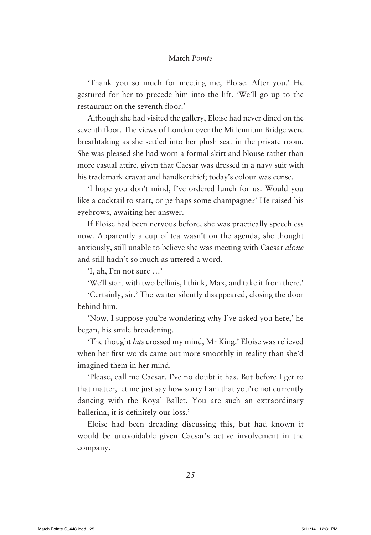'Thank you so much for meeting me, Eloise. After you.' He gestured for her to precede him into the lift. 'We'll go up to the restaurant on the seventh floor.'

Although she had visited the gallery, Eloise had never dined on the seventh floor. The views of London over the Millennium Bridge were breathtaking as she settled into her plush seat in the private room. She was pleased she had worn a formal skirt and blouse rather than more casual attire, given that Caesar was dressed in a navy suit with his trademark cravat and handkerchief; today's colour was cerise.

'I hope you don't mind, I've ordered lunch for us. Would you like a cocktail to start, or perhaps some champagne?' He raised his eyebrows, awaiting her answer.

If Eloise had been nervous before, she was practically speechless now. Apparently a cup of tea wasn't on the agenda, she thought anxiously, still unable to believe she was meeting with Caesar *alone* and still hadn't so much as uttered a word.

'I, ah, I'm not sure …'

'We'll start with two bellinis, I think, Max, and take it from there.'

'Certainly, sir.' The waiter silently disappeared, closing the door behind him.

'Now, I suppose you're wondering why I've asked you here,' he began, his smile broadening.

'The thought *has* crossed my mind, Mr King.' Eloise was relieved when her first words came out more smoothly in reality than she'd imagined them in her mind.

'Please, call me Caesar. I've no doubt it has. But before I get to that matter, let me just say how sorry I am that you're not currently dancing with the Royal Ballet. You are such an extraordinary ballerina; it is definitely our loss.'

Eloise had been dreading discussing this, but had known it would be unavoidable given Caesar's active involvement in the company.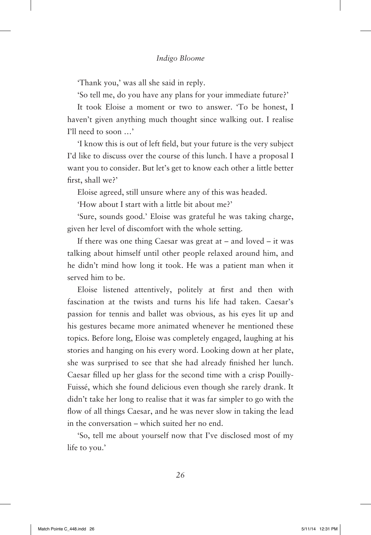'Thank you,' was all she said in reply.

'So tell me, do you have any plans for your immediate future?'

It took Eloise a moment or two to answer. 'To be honest, I haven't given anything much thought since walking out. I realise I'll need to soon …'

'I know this is out of left field, but your future is the very subject I'd like to discuss over the course of this lunch. I have a proposal I want you to consider. But let's get to know each other a little better first, shall we?'

Eloise agreed, still unsure where any of this was headed.

'How about I start with a little bit about me?'

'Sure, sounds good.' Eloise was grateful he was taking charge, given her level of discomfort with the whole setting.

If there was one thing Caesar was great at – and loved – it was talking about himself until other people relaxed around him, and he didn't mind how long it took. He was a patient man when it served him to be.

Eloise listened attentively, politely at first and then with fascination at the twists and turns his life had taken. Caesar's passion for tennis and ballet was obvious, as his eyes lit up and his gestures became more animated whenever he mentioned these topics. Before long, Eloise was completely engaged, laughing at his stories and hanging on his every word. Looking down at her plate, she was surprised to see that she had already finished her lunch. Caesar filled up her glass for the second time with a crisp Pouilly-Fuissé, which she found delicious even though she rarely drank. It didn't take her long to realise that it was far simpler to go with the flow of all things Caesar, and he was never slow in taking the lead in the conversation – which suited her no end.

'So, tell me about yourself now that I've disclosed most of my life to you.'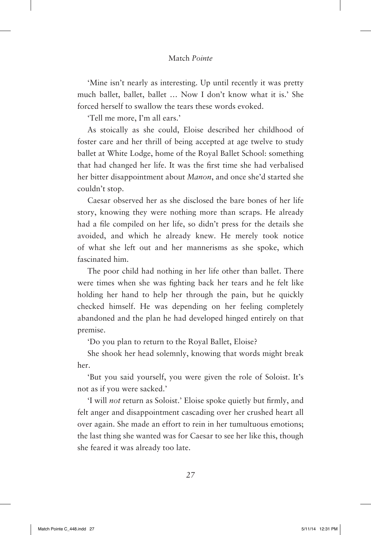'Mine isn't nearly as interesting. Up until recently it was pretty much ballet, ballet, ballet … Now I don't know what it is.' She forced herself to swallow the tears these words evoked.

'Tell me more, I'm all ears.'

As stoically as she could, Eloise described her childhood of foster care and her thrill of being accepted at age twelve to study ballet at White Lodge, home of the Royal Ballet School: something that had changed her life. It was the first time she had verbalised her bitter disappointment about *Manon*, and once she'd started she couldn't stop.

Caesar observed her as she disclosed the bare bones of her life story, knowing they were nothing more than scraps. He already had a file compiled on her life, so didn't press for the details she avoided, and which he already knew. He merely took notice of what she left out and her mannerisms as she spoke, which fascinated him.

The poor child had nothing in her life other than ballet. There were times when she was fighting back her tears and he felt like holding her hand to help her through the pain, but he quickly checked himself. He was depending on her feeling completely abandoned and the plan he had developed hinged entirely on that premise.

'Do you plan to return to the Royal Ballet, Eloise?

She shook her head solemnly, knowing that words might break her.

'But you said yourself, you were given the role of Soloist. It's not as if you were sacked.'

'I will *not* return as Soloist.' Eloise spoke quietly but firmly, and felt anger and disappointment cascading over her crushed heart all over again. She made an effort to rein in her tumultuous emotions; the last thing she wanted was for Caesar to see her like this, though she feared it was already too late.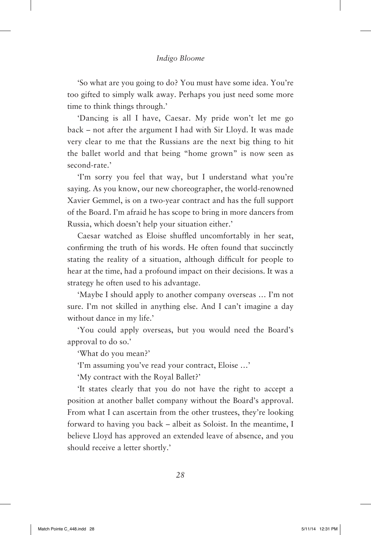'So what are you going to do? You must have some idea. You're too gifted to simply walk away. Perhaps you just need some more time to think things through.'

'Dancing is all I have, Caesar. My pride won't let me go back – not after the argument I had with Sir Lloyd. It was made very clear to me that the Russians are the next big thing to hit the ballet world and that being "home grown" is now seen as second-rate.'

'I'm sorry you feel that way, but I understand what you're saying. As you know, our new choreographer, the world-renowned Xavier Gemmel, is on a two-year contract and has the full support of the Board. I'm afraid he has scope to bring in more dancers from Russia, which doesn't help your situation either.'

Caesar watched as Eloise shuffled uncomfortably in her seat, confirming the truth of his words. He often found that succinctly stating the reality of a situation, although difficult for people to hear at the time, had a profound impact on their decisions. It was a strategy he often used to his advantage.

'Maybe I should apply to another company overseas … I'm not sure. I'm not skilled in anything else. And I can't imagine a day without dance in my life.'

'You could apply overseas, but you would need the Board's approval to do so.'

'What do you mean?'

'I'm assuming you've read your contract, Eloise …'

'My contract with the Royal Ballet?'

'It states clearly that you do not have the right to accept a position at another ballet company without the Board's approval. From what I can ascertain from the other trustees, they're looking forward to having you back – albeit as Soloist. In the meantime, I believe Lloyd has approved an extended leave of absence, and you should receive a letter shortly.'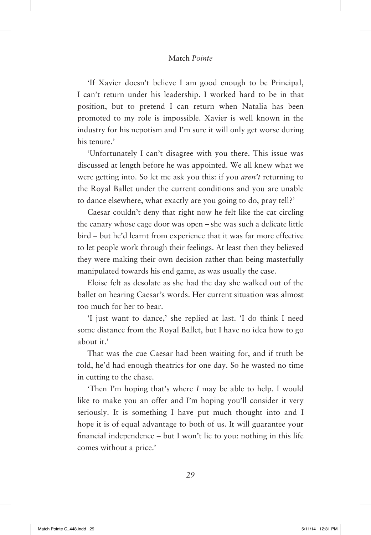'If Xavier doesn't believe I am good enough to be Principal, I can't return under his leadership. I worked hard to be in that position, but to pretend I can return when Natalia has been promoted to my role is impossible. Xavier is well known in the industry for his nepotism and I'm sure it will only get worse during his tenure.'

'Unfortunately I can't disagree with you there. This issue was discussed at length before he was appointed. We all knew what we were getting into. So let me ask you this: if you *aren't* returning to the Royal Ballet under the current conditions and you are unable to dance elsewhere, what exactly are you going to do, pray tell?'

Caesar couldn't deny that right now he felt like the cat circling the canary whose cage door was open – she was such a delicate little bird – but he'd learnt from experience that it was far more effective to let people work through their feelings. At least then they believed they were making their own decision rather than being masterfully manipulated towards his end game, as was usually the case.

Eloise felt as desolate as she had the day she walked out of the ballet on hearing Caesar's words. Her current situation was almost too much for her to bear.

'I just want to dance,' she replied at last. 'I do think I need some distance from the Royal Ballet, but I have no idea how to go about it.'

That was the cue Caesar had been waiting for, and if truth be told, he'd had enough theatrics for one day. So he wasted no time in cutting to the chase.

'Then I'm hoping that's where *I* may be able to help. I would like to make you an offer and I'm hoping you'll consider it very seriously. It is something I have put much thought into and I hope it is of equal advantage to both of us. It will guarantee your financial independence – but I won't lie to you: nothing in this life comes without a price.'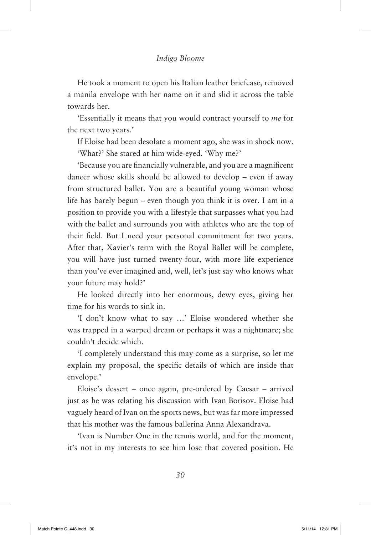He took a moment to open his Italian leather briefcase, removed a manila envelope with her name on it and slid it across the table towards her.

'Essentially it means that you would contract yourself to *me* for the next two years.'

If Eloise had been desolate a moment ago, she was in shock now. 'What?' She stared at him wide-eyed. 'Why me?'

'Because you are financially vulnerable, and you are a magnificent dancer whose skills should be allowed to develop – even if away from structured ballet. You are a beautiful young woman whose life has barely begun – even though you think it is over. I am in a position to provide you with a lifestyle that surpasses what you had with the ballet and surrounds you with athletes who are the top of their field. But I need your personal commitment for two years. After that, Xavier's term with the Royal Ballet will be complete, you will have just turned twenty-four, with more life experience than you've ever imagined and, well, let's just say who knows what your future may hold?'

He looked directly into her enormous, dewy eyes, giving her time for his words to sink in.

'I don't know what to say …' Eloise wondered whether she was trapped in a warped dream or perhaps it was a nightmare; she couldn't decide which.

'I completely understand this may come as a surprise, so let me explain my proposal, the specific details of which are inside that envelope.'

Eloise's dessert – once again, pre-ordered by Caesar – arrived just as he was relating his discussion with Ivan Borisov. Eloise had vaguely heard of Ivan on the sports news, but was far more impressed that his mother was the famous ballerina Anna Alexandrava.

'Ivan is Number One in the tennis world, and for the moment, it's not in my interests to see him lose that coveted position. He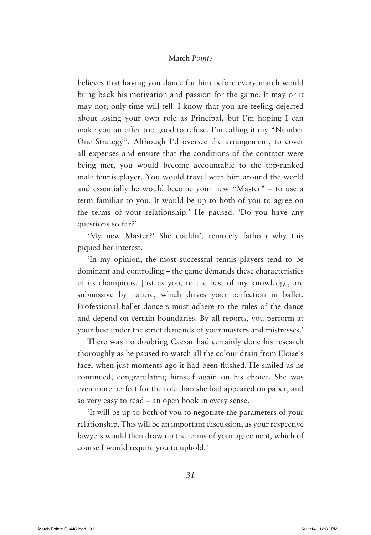believes that having you dance for him before every match would bring back his motivation and passion for the game. It may or it may not; only time will tell. I know that you are feeling dejected about losing your own role as Principal, but I'm hoping I can make you an offer too good to refuse. I'm calling it my "Number One Strategy". Although I'd oversee the arrangement, to cover all expenses and ensure that the conditions of the contract were being met, you would become accountable to the top-ranked male tennis player. You would travel with him around the world and essentially he would become your new "Master" – to use a term familiar to you. It would be up to both of you to agree on the terms of your relationship.' He paused. 'Do you have any questions so far?'

'My new Master?' She couldn't remotely fathom why this piqued her interest.

'In my opinion, the most successful tennis players tend to be dominant and controlling – the game demands these characteristics of its champions. Just as you, to the best of my knowledge, are submissive by nature, which drives your perfection in ballet. Professional ballet dancers must adhere to the rules of the dance and depend on certain boundaries. By all reports, you perform at your best under the strict demands of your masters and mistresses.'

There was no doubting Caesar had certainly done his research thoroughly as he paused to watch all the colour drain from Eloise's face, when just moments ago it had been flushed. He smiled as he continued, congratulating himself again on his choice. She was even more perfect for the role than she had appeared on paper, and so very easy to read – an open book in every sense.

'It will be up to both of you to negotiate the parameters of your relationship. This will be an important discussion, as your respective lawyers would then draw up the terms of your agreement, which of course I would require you to uphold.'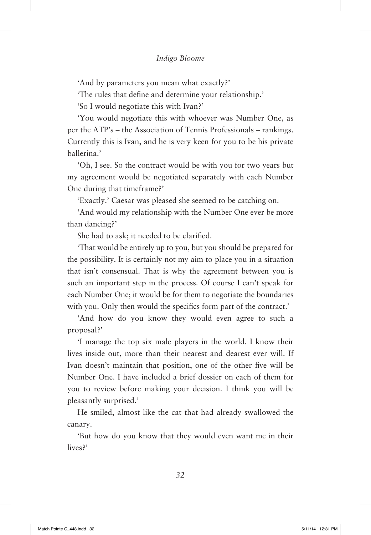'And by parameters you mean what exactly?'

'The rules that define and determine your relationship.'

'So I would negotiate this with Ivan?'

'You would negotiate this with whoever was Number One, as per the ATP's – the Association of Tennis Professionals – rankings. Currently this is Ivan, and he is very keen for you to be his private ballerina.'

'Oh, I see. So the contract would be with you for two years but my agreement would be negotiated separately with each Number One during that timeframe?'

'Exactly.' Caesar was pleased she seemed to be catching on.

'And would my relationship with the Number One ever be more than dancing?'

She had to ask; it needed to be clarified.

'That would be entirely up to you, but you should be prepared for the possibility. It is certainly not my aim to place you in a situation that isn't consensual. That is why the agreement between you is such an important step in the process. Of course I can't speak for each Number One; it would be for them to negotiate the boundaries with you. Only then would the specifics form part of the contract.'

'And how do you know they would even agree to such a proposal?'

'I manage the top six male players in the world. I know their lives inside out, more than their nearest and dearest ever will. If Ivan doesn't maintain that position, one of the other five will be Number One. I have included a brief dossier on each of them for you to review before making your decision. I think you will be pleasantly surprised.'

He smiled, almost like the cat that had already swallowed the canary.

'But how do you know that they would even want me in their lives?'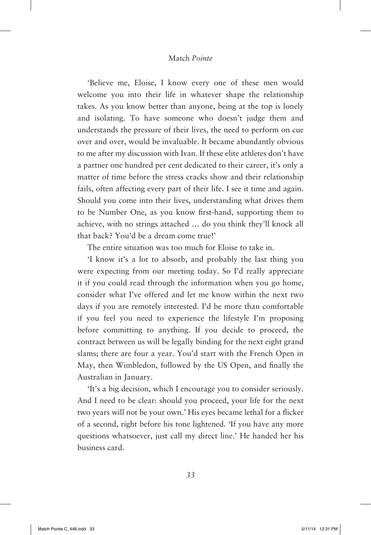'Believe me, Eloise, I know every one of these men would welcome you into their life in whatever shape the relationship takes. As you know better than anyone, being at the top is lonely and isolating. To have someone who doesn't judge them and understands the pressure of their lives, the need to perform on cue over and over, would be invaluable. It became abundantly obvious to me after my discussion with Ivan. If these elite athletes don't have a partner one hundred per cent dedicated to their career, it's only a matter of time before the stress cracks show and their relationship fails, often affecting every part of their life. I see it time and again. Should you come into their lives, understanding what drives them to be Number One, as you know first-hand, supporting them to achieve, with no strings attached … do you think they'll knock all that back? You'd be a dream come true!'

The entire situation was too much for Eloise to take in.

'I know it's a lot to absorb, and probably the last thing you were expecting from our meeting today. So I'd really appreciate it if you could read through the information when you go home, consider what I've offered and let me know within the next two days if you are remotely interested. I'd be more than comfortable if you feel you need to experience the lifestyle I'm proposing before committing to anything. If you decide to proceed, the contract between us will be legally binding for the next eight grand slams; there are four a year. You'd start with the French Open in May, then Wimbledon, followed by the US Open, and finally the Australian in January.

'It's a big decision, which I encourage you to consider seriously. And I need to be clear: should you proceed, your life for the next two years will not be your own.' His eyes became lethal for a flicker of a second, right before his tone lightened. 'If you have any more questions whatsoever, just call my direct line.' He handed her his business card.